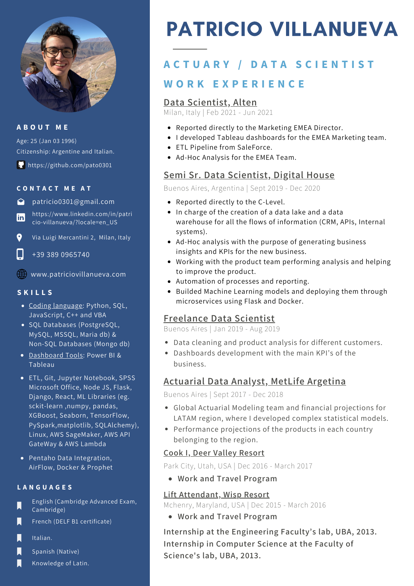

#### **A B O U T M E**

Age: 25 (Jan 03 1996) Citizenship: Argentine and Italian.

https://github.com/pato0301

#### **C O N T A C T M E A T**

patricio0301@gmail.com

https://www.linkedin.com/in/patri **in** cio-villanueva/?locale=en\_US

 $\bullet$ Via Luigi Mercantini 2, Milan, Italy

L +39 389 0965740

www.patriciovillanueva.com

#### **S K I L L S**

- Coding language: Python, SQL, JavaScript, C++ and VBA
- SQL Databases (PostgreSQL, MySQL, MSSQL, Maria db) & Non-SQL Databases (Mongo db)
- Dashboard Tools: Power BI & Tableau
- ETL, Git, Jupyter Notebook, SPSS Microsoft Office, Node JS, Flask, Django, React, ML Libraries (eg. sckit-learn ,numpy, pandas, XGBoost, Seaborn, TensorFlow, PySpark,matplotlib, SQLAlchemy), Linux, AWS SageMaker, AWS API GateWay & AWS Lambda
- Pentaho Data Integration, AirFlow, Docker & Prophet

#### **L A N G U A G E S**

- English (Cambridge Advanced Exam, П Cambridge)
- Π French (DELF B1 certificate)
- П Italian.
- П Spanish (Native)
- Knowledge of Latin.

# PATRICIO VILLANUEVA

# **W O R K E X P E R I E N C E A C T U A R Y / D A T A S C I E N T I S T**

### **Data Scientist, Alten**

Milan, Italy | Feb 2021 - Jun 2021

- Reported directly to the Marketing EMEA Director.
- I developed Tableau dashboards for the EMEA Marketing team.
- ETL Pipeline from SaleForce.
- Ad-Hoc Analysis for the EMEA Team.

## **Semi Sr. Data Scientist, Digital House**

Buenos Aires, Argentina | Sept 2019 - Dec 2020

- Reported directly to the C-Level.
- In charge of the creation of a data lake and a data warehouse for all the flows of information (CRM, APIs, Internal systems).
- Ad-Hoc analysis with the purpose of generating business insights and KPIs for the new business.
- Working with the product team performing analysis and helping to improve the product.
- Automation of processes and reporting.
- Builded Machine Learning models and deploying them through microservices using Flask and Docker.

#### **Freelance Data Scientist**

Buenos Aires | Jan 2019 - Aug 2019

- Data cleaning and product analysis for different customers.
- Dashboards development with the main KPI's of the business.

## **Actuarial Data Analyst, MetLife Argetina**

Buenos Aires | Sept 2017 - Dec 2018

- Global Actuarial Modeling team and financial projections for LATAM region, where I developed complex statistical models.
- Performance projections of the products in each country belonging to the region.

#### **Cook I, Deer Valley Resort**

Park City, Utah, USA | Dec 2016 - March 2017

**Work and Travel Program**

#### **Lift Attendant, Wisp Resort**

Mchenry, Maryland, USA | Dec 2015 - March 2016

**Work and Travel Program**

**Internship at the Engineering Faculty's lab, UBA, 2013. Internship in Computer Science at the Faculty of Science's lab, UBA, 2013.**